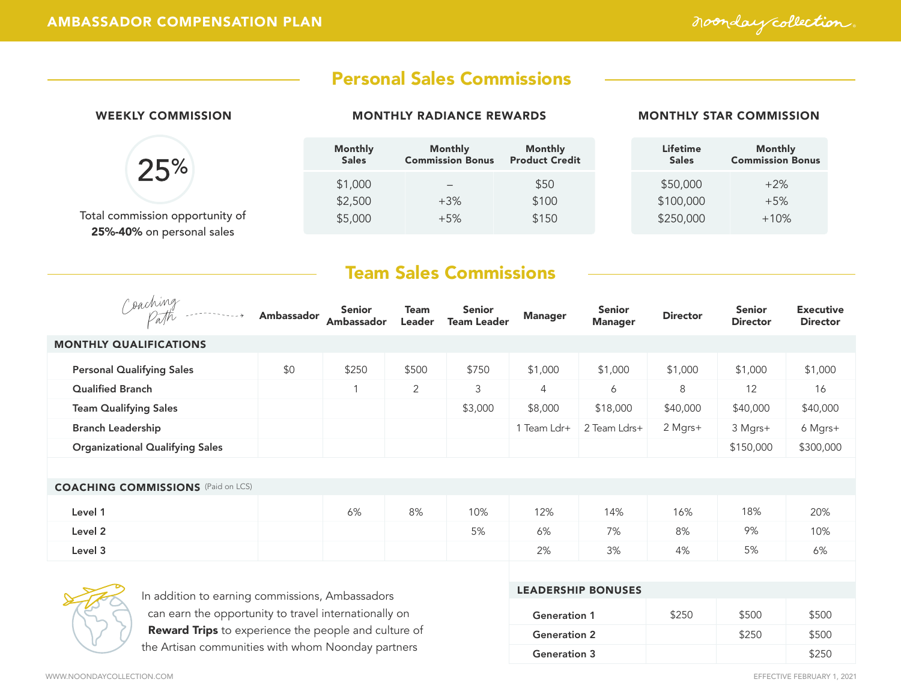noonday collection.

## Personal Sales Commissions

| <b>WEEKLY COMMISSION</b>        | <b>MONTHLY RADIANCE REWARDS</b> |                                    |                                         | <b>MONTHLY STAR COMMISSION</b> |                                           |  |
|---------------------------------|---------------------------------|------------------------------------|-----------------------------------------|--------------------------------|-------------------------------------------|--|
| 25%                             | <b>Monthly</b><br><b>Sales</b>  | Monthly<br><b>Commission Bonus</b> | <b>Monthly</b><br><b>Product Credit</b> | Lifetime<br><b>Sales</b>       | <b>Monthly</b><br><b>Commission Bonus</b> |  |
|                                 | \$1,000                         |                                    | \$50                                    | \$50,000                       | $+2\%$                                    |  |
|                                 | \$2,500                         | $+3\%$                             | \$100                                   | \$100,000                      | $+5%$                                     |  |
| Total commission opportunity of | \$5,000                         | $+5%$                              | \$150                                   | \$250,000                      | $+10%$                                    |  |
| 25%-40% on personal sales       |                                 |                                    |                                         |                                |                                           |  |

# Team Sales Commissions

| Coaching<br>$-1 - 1 - 1 - 1 - 1 - 1$      | <b>Ambassador</b> | <b>Senior</b><br>Ambassador | <b>Team</b><br>Leader | <b>Senior</b><br><b>Team Leader</b> | <b>Manager</b> | <b>Senior</b><br><b>Manager</b> | <b>Director</b> | <b>Senior</b><br><b>Director</b> | <b>Executive</b><br><b>Director</b> |
|-------------------------------------------|-------------------|-----------------------------|-----------------------|-------------------------------------|----------------|---------------------------------|-----------------|----------------------------------|-------------------------------------|
| <b>MONTHLY QUALIFICATIONS</b>             |                   |                             |                       |                                     |                |                                 |                 |                                  |                                     |
| <b>Personal Qualifying Sales</b>          | \$0               | \$250                       | \$500                 | \$750                               | \$1,000        | \$1,000                         | \$1,000         | \$1,000                          | \$1,000                             |
| <b>Qualified Branch</b>                   |                   |                             | $\overline{2}$        | 3                                   | $\overline{4}$ | 6                               | 8               | 12                               | 16                                  |
| <b>Team Qualifying Sales</b>              |                   |                             |                       | \$3,000                             | \$8,000        | \$18,000                        | \$40,000        | \$40,000                         | \$40,000                            |
| <b>Branch Leadership</b>                  |                   |                             |                       |                                     | 1 Team Ldr+    | 2 Team Ldrs+                    | 2 Mgrs+         | 3 Mgrs+                          | 6 Mgrs+                             |
| <b>Organizational Qualifying Sales</b>    |                   |                             |                       |                                     |                |                                 |                 | \$150,000                        | \$300,000                           |
|                                           |                   |                             |                       |                                     |                |                                 |                 |                                  |                                     |
| <b>COACHING COMMISSIONS</b> (Paid on LCS) |                   |                             |                       |                                     |                |                                 |                 |                                  |                                     |
| Level 1                                   |                   | 6%                          | 8%                    | 10%                                 | 12%            | 14%                             | 16%             | 18%                              | 20%                                 |
| Level 2                                   |                   |                             |                       | 5%                                  | 6%             | 7%                              | 8%              | 9%                               | 10%                                 |
| Level 3                                   |                   |                             |                       |                                     | 2%             | 3%                              | 4%              | 5%                               | 6%                                  |
|                                           |                   |                             |                       |                                     |                |                                 |                 |                                  |                                     |



In addition to earning commissions, Ambassadors **ILI**  can earn the opportunity to travel internationally on Reward Trips to experience the people and culture of the Artisan communities with whom Noonday partners

| <b>EADERSHIP BONUSES</b> |  |  |
|--------------------------|--|--|
|                          |  |  |

| <b>Generation 1</b> | \$250 | \$500 | \$500 |
|---------------------|-------|-------|-------|
| <b>Generation 2</b> |       | \$250 | \$500 |
| <b>Generation 3</b> |       |       |       |